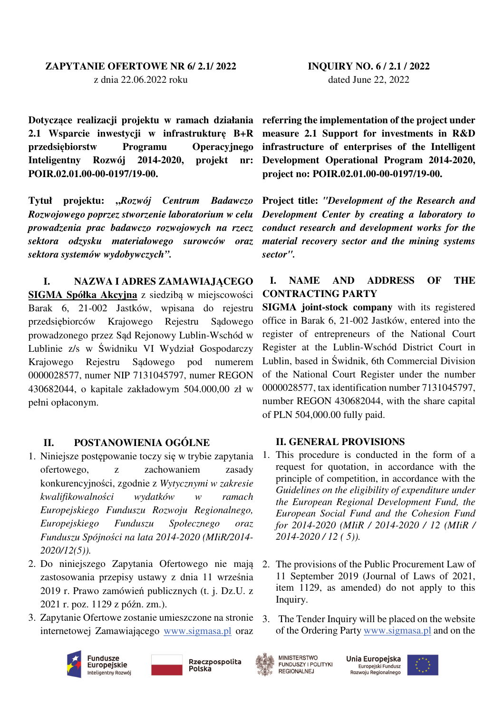## **ZAPYTANIE OFERTOWE NR 6/ 2.1/ 2022**  z dnia 22.06.2022 roku

**Dotyczące realizacji projektu w ramach działania referring the implementation of the project under 2.1 Wsparcie inwestycji w infrastrukturę B+R przedsiębiorstw Programu Operacyjnego Inteligentny Rozwój 2014-2020, projekt nr: POIR.02.01.00-00-0197/19-00.** 

**Tytuł projektu: "***Rozwój Centrum Badawczo Rozwojowego poprzez stworzenie laboratorium w celu prowadzenia prac badawczo rozwojowych na rzecz sektora odzysku materiałowego surowców oraz sektora systemów wydobywczych".* 

### **I. NAZWA I ADRES ZAMAWIAJĄCEGO**

**SIGMA Spółka Akcyjna** z siedzibą w miejscowości Barak 6, 21-002 Jastków, wpisana do rejestru przedsiębiorców Krajowego Rejestru Sądowego prowadzonego przez Sąd Rejonowy Lublin-Wschód w Lublinie z/s w Świdniku VI Wydział Gospodarczy Krajowego Rejestru Sądowego pod numerem 0000028577, numer NIP 7131045797, numer REGON 430682044, o kapitale zakładowym 504.000,00 zł w pełni opłaconym.

## **II. POSTANOWIENIA OGÓLNE**

- 1. Niniejsze postępowanie toczy się w trybie zapytania ofertowego, z zachowaniem zasady konkurencyjności, zgodnie z *Wytycznymi w zakresie kwalifikowalności wydatków w ramach Europejskiego Funduszu Rozwoju Regionalnego, Europejskiego Funduszu Społecznego oraz Funduszu Spójności na lata 2014-2020 (MIiR/2014- 2020/12(5)).*
- 2. Do niniejszego Zapytania Ofertowego nie mają zastosowania przepisy ustawy z dnia 11 września 2019 r. Prawo zamówień publicznych (t. j. Dz.U. z 2021 r. poz. 1129 z późn. zm.).
- 3. Zapytanie Ofertowe zostanie umieszczone na stronie internetowej Zamawiającego www.sigmasa.pl oraz





**INQUIRY NO. 6 / 2.1 / 2022**  dated June 22, 2022

**measure 2.1 Support for investments in R&D infrastructure of enterprises of the Intelligent Development Operational Program 2014-2020, project no: POIR.02.01.00-00-0197/19-00.** 

**Project title:** *"Development of the Research and Development Center by creating a laboratory to conduct research and development works for the material recovery sector and the mining systems sector".* 

## **I. NAME AND ADDRESS OF THE CONTRACTING PARTY**

**SIGMA joint-stock company** with its registered office in Barak 6, 21-002 Jastków, entered into the register of entrepreneurs of the National Court Register at the Lublin-Wschód District Court in Lublin, based in Świdnik, 6th Commercial Division of the National Court Register under the number 0000028577, tax identification number 7131045797, number REGON 430682044, with the share capital of PLN 504,000.00 fully paid.

#### **II. GENERAL PROVISIONS**

- 1. This procedure is conducted in the form of a request for quotation, in accordance with the principle of competition, in accordance with the *Guidelines on the eligibility of expenditure under the European Regional Development Fund, the European Social Fund and the Cohesion Fund for 2014-2020 (MIiR / 2014-2020 / 12 (MIiR / 2014-2020 / 12 ( 5)).*
- 2. The provisions of the Public Procurement Law of 11 September 2019 (Journal of Laws of 2021, item 1129, as amended) do not apply to this Inquiry.
- 3. The Tender Inquiry will be placed on the website of the Ordering Party www.sigmasa.pl and on the



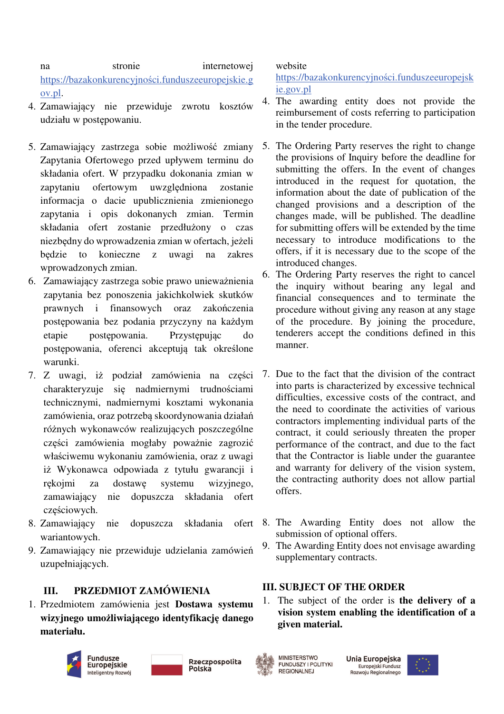na stronie internetowej https://bazakonkurencyjności.funduszeeuropejskie.g ov.pl.

- 4. Zamawiający nie przewiduje zwrotu kosztów udziału w postępowaniu.
- 5. Zamawiający zastrzega sobie możliwość zmiany Zapytania Ofertowego przed upływem terminu do składania ofert. W przypadku dokonania zmian w zapytaniu ofertowym uwzględniona zostanie informacja o dacie upublicznienia zmienionego zapytania i opis dokonanych zmian. Termin składania ofert zostanie przedłużony o czas niezbędny do wprowadzenia zmian w ofertach, jeżeli będzie to konieczne z uwagi na zakres wprowadzonych zmian.
- 6. Zamawiający zastrzega sobie prawo unieważnienia zapytania bez ponoszenia jakichkolwiek skutków prawnych i finansowych oraz zakończenia postępowania bez podania przyczyny na każdym etapie postępowania. Przystępując do postępowania, oferenci akceptują tak określone warunki.
- 7. Z uwagi, iż podział zamówienia na części charakteryzuje się nadmiernymi trudnościami technicznymi, nadmiernymi kosztami wykonania zamówienia, oraz potrzebą skoordynowania działań różnych wykonawców realizujących poszczególne części zamówienia mogłaby poważnie zagrozić właściwemu wykonaniu zamówienia, oraz z uwagi iż Wykonawca odpowiada z tytułu gwarancji i rękojmi za dostawę systemu wizyjnego, zamawiający nie dopuszcza składania ofert częściowych.
- 8. Zamawiający nie dopuszcza składania ofert wariantowych.
- 9. Zamawiający nie przewiduje udzielania zamówień uzupełniających.

## **III. PRZEDMIOT ZAMÓWIENIA**

1. Przedmiotem zamówienia jest **Dostawa systemu wizyjnego umożliwiającego identyfikację danego materiału.**



Polska



website

https://bazakonkurencyjności.funduszeeuropejsk ie.gov.pl

- 4. The awarding entity does not provide the reimbursement of costs referring to participation in the tender procedure.
- 5. The Ordering Party reserves the right to change the provisions of Inquiry before the deadline for submitting the offers. In the event of changes introduced in the request for quotation, the information about the date of publication of the changed provisions and a description of the changes made, will be published. The deadline for submitting offers will be extended by the time necessary to introduce modifications to the offers, if it is necessary due to the scope of the introduced changes.
- 6. The Ordering Party reserves the right to cancel the inquiry without bearing any legal and financial consequences and to terminate the procedure without giving any reason at any stage of the procedure. By joining the procedure, tenderers accept the conditions defined in this manner.
- 7. Due to the fact that the division of the contract into parts is characterized by excessive technical difficulties, excessive costs of the contract, and the need to coordinate the activities of various contractors implementing individual parts of the contract, it could seriously threaten the proper performance of the contract, and due to the fact that the Contractor is liable under the guarantee and warranty for delivery of the vision system, the contracting authority does not allow partial offers.
- 8. The Awarding Entity does not allow the submission of optional offers.
- 9. The Awarding Entity does not envisage awarding supplementary contracts.

## **III. SUBJECT OF THE ORDER**

1. The subject of the order is **the delivery of a vision system enabling the identification of a given material.** 



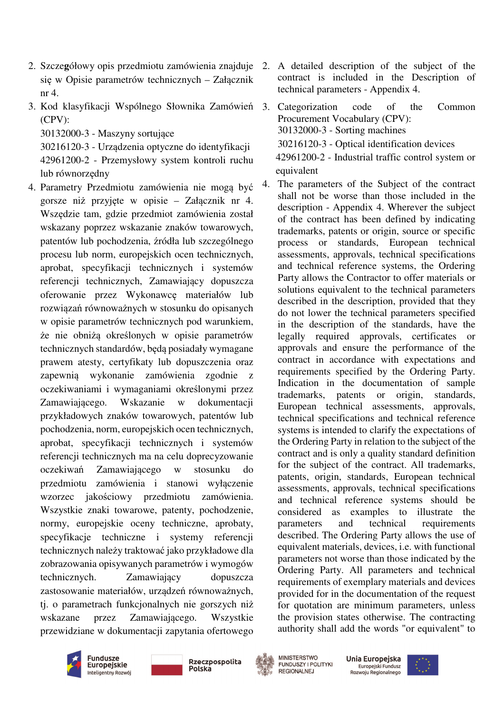- 2. Szcze**g**ółowy opis przedmiotu zamówienia znajduje 2. A detailed description of the subject of the się w Opisie parametrów technicznych – Załącznik nr 4.
- 3. Kod klasyfikacji Wspólnego Słownika Zamówień 3. Categorization code of the Common (CPV):

30132000-3 - Maszyny sortujące

30216120-3 - Urządzenia optyczne do identyfikacji 42961200-2 - Przemysłowy system kontroli ruchu lub równorzędny

4. Parametry Przedmiotu zamówienia nie mogą być gorsze niż przyjęte w opisie – Załącznik nr 4. Wszędzie tam, gdzie przedmiot zamówienia został wskazany poprzez wskazanie znaków towarowych, patentów lub pochodzenia, źródła lub szczególnego procesu lub norm, europejskich ocen technicznych, aprobat, specyfikacji technicznych i systemów referencji technicznych, Zamawiający dopuszcza oferowanie przez Wykonawcę materiałów lub rozwiązań równoważnych w stosunku do opisanych w opisie parametrów technicznych pod warunkiem, że nie obniżą określonych w opisie parametrów technicznych standardów, będą posiadały wymagane prawem atesty, certyfikaty lub dopuszczenia oraz zapewnią wykonanie zamówienia zgodnie z oczekiwaniami i wymaganiami określonymi przez Zamawiającego. Wskazanie w dokumentacji przykładowych znaków towarowych, patentów lub pochodzenia, norm, europejskich ocen technicznych, aprobat, specyfikacji technicznych i systemów referencji technicznych ma na celu doprecyzowanie oczekiwań Zamawiającego w stosunku do przedmiotu zamówienia i stanowi wyłączenie wzorzec jakościowy przedmiotu zamówienia. Wszystkie znaki towarowe, patenty, pochodzenie, normy, europejskie oceny techniczne, aprobaty, specyfikacje techniczne i systemy referencji technicznych należy traktować jako przykładowe dla zobrazowania opisywanych parametrów i wymogów technicznych. Zamawiający dopuszcza zastosowanie materiałów, urządzeń równoważnych, tj. o parametrach funkcjonalnych nie gorszych niż wskazane przez Zamawiającego. Wszystkie przewidziane w dokumentacji zapytania ofertowego

- contract is included in the Description of technical parameters - Appendix 4.
- Procurement Vocabulary (CPV): 30132000-3 - Sorting machines 30216120-3 - Optical identification devices 42961200-2 - Industrial traffic control system or equivalent
- 4. The parameters of the Subject of the contract shall not be worse than those included in the description - Appendix 4. Wherever the subject of the contract has been defined by indicating trademarks, patents or origin, source or specific process or standards, European technical assessments, approvals, technical specifications and technical reference systems, the Ordering Party allows the Contractor to offer materials or solutions equivalent to the technical parameters described in the description, provided that they do not lower the technical parameters specified in the description of the standards, have the legally required approvals, certificates or approvals and ensure the performance of the contract in accordance with expectations and requirements specified by the Ordering Party. Indication in the documentation of sample trademarks, patents or origin, standards, European technical assessments, approvals, technical specifications and technical reference systems is intended to clarify the expectations of the Ordering Party in relation to the subject of the contract and is only a quality standard definition for the subject of the contract. All trademarks, patents, origin, standards, European technical assessments, approvals, technical specifications and technical reference systems should be considered as examples to illustrate the parameters and technical requirements described. The Ordering Party allows the use of equivalent materials, devices, i.e. with functional parameters not worse than those indicated by the Ordering Party. All parameters and technical requirements of exemplary materials and devices provided for in the documentation of the request for quotation are minimum parameters, unless the provision states otherwise. The contracting authority shall add the words "or equivalent" to







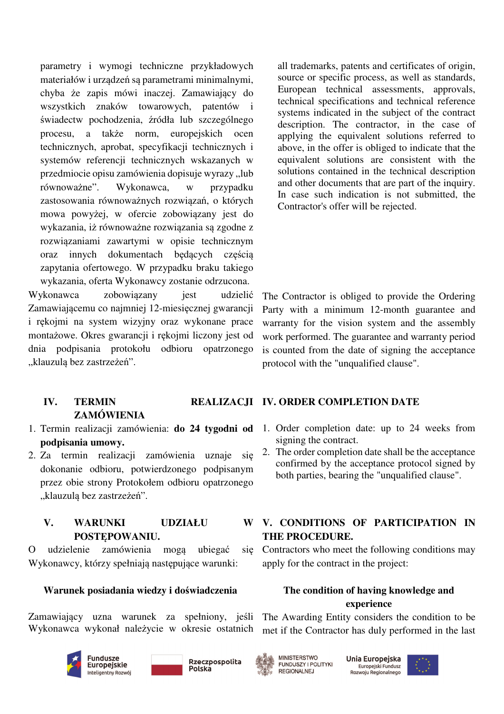parametry i wymogi techniczne przykładowych materiałów i urządzeń są parametrami minimalnymi, chyba że zapis mówi inaczej. Zamawiający do wszystkich znaków towarowych, patentów i świadectw pochodzenia, źródła lub szczególnego procesu, a także norm, europejskich ocen technicznych, aprobat, specyfikacji technicznych i systemów referencji technicznych wskazanych w przedmiocie opisu zamówienia dopisuje wyrazy "lub równoważne". Wykonawca, w przypadku zastosowania równoważnych rozwiązań, o których mowa powyżej, w ofercie zobowiązany jest do wykazania, iż równoważne rozwiązania są zgodne z rozwiązaniami zawartymi w opisie technicznym oraz innych dokumentach będących częścią zapytania ofertowego. W przypadku braku takiego wykazania, oferta Wykonawcy zostanie odrzucona. Wykonawca zobowiązany jest udzielić Zamawiającemu co najmniej 12-miesięcznej gwarancji i rękojmi na system wizyjny oraz wykonane prace

montażowe. Okres gwarancji i rękojmi liczony jest od dnia podpisania protokołu odbioru opatrzonego "klauzulą bez zastrzeżeń".

all trademarks, patents and certificates of origin, source or specific process, as well as standards, European technical assessments, approvals, technical specifications and technical reference systems indicated in the subject of the contract description. The contractor, in the case of applying the equivalent solutions referred to above, in the offer is obliged to indicate that the equivalent solutions are consistent with the solutions contained in the technical description and other documents that are part of the inquiry. In case such indication is not submitted, the Contractor's offer will be rejected.

The Contractor is obliged to provide the Ordering Party with a minimum 12-month guarantee and warranty for the vision system and the assembly work performed. The guarantee and warranty period is counted from the date of signing the acceptance protocol with the "unqualified clause".

### **IV. TERMIN REALIZACJI IV. ORDER COMPLETION DATE ZAMÓWIENIA**

- 1. Termin realizacji zamówienia: **do 24 tygodni od podpisania umowy.**
- 2. Za termin realizacji zamówienia uznaje się dokonanie odbioru, potwierdzonego podpisanym przez obie strony Protokołem odbioru opatrzonego "klauzulą bez zastrzeżeń".

## **V. WARUNKI UDZIAŁU POSTĘPOWANIU.**

O udzielenie zamówienia mogą ubiegać Wykonawcy, którzy spełniają następujące warunki:

## **Warunek posiadania wiedzy i doświadczenia**

Zamawiający uzna warunek za spełniony, jeśli Wykonawca wykonał należycie w okresie ostatnich









Unia Europejska Europejski Fundusz Rozwoju Regionalnego





- 1. Order completion date: up to 24 weeks from signing the contract.
	- 2. The order completion date shall be the acceptance confirmed by the acceptance protocol signed by both parties, bearing the "unqualified clause".

# **V. CONDITIONS OF PARTICIPATION IN THE PROCEDURE.**

sig Contractors who meet the following conditions may apply for the contract in the project:

## **The condition of having knowledge and experience**

The Awarding Entity considers the condition to be met if the Contractor has duly performed in the last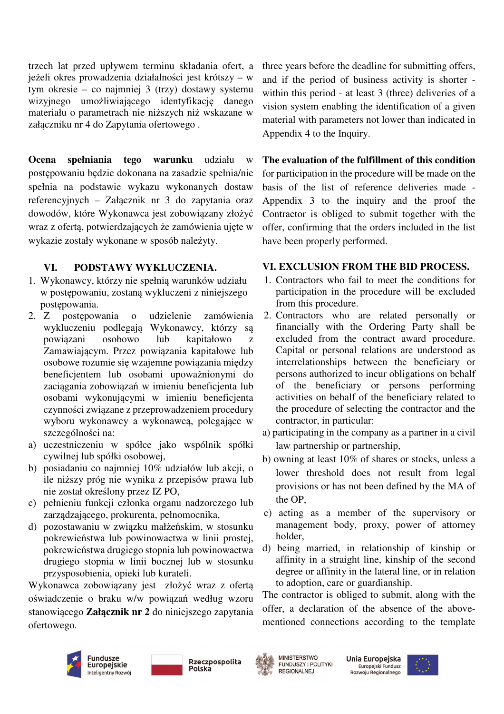trzech lat przed upływem terminu składania ofert, a jeżeli okres prowadzenia działalności jest krótszy – w tym okresie – co najmniej 3 (trzy) dostawy systemu wizyjnego umożliwiającego identyfikację danego materiału o parametrach nie niższych niż wskazane w załączniku nr 4 do Zapytania ofertowego .

**Ocena spełniania tego warunku** udziału w postępowaniu będzie dokonana na zasadzie spełnia/nie spełnia na podstawie wykazu wykonanych dostaw referencyjnych – Załącznik nr 3 do zapytania oraz dowodów, które Wykonawca jest zobowiązany złożyć wraz z ofertą, potwierdzających że zamówienia ujęte w wykazie zostały wykonane w sposób należyty.

## **VI. PODSTAWY WYKLUCZENIA.**

- 1. Wykonawcy, którzy nie spełnią warunków udziału w postępowaniu, zostaną wykluczeni z niniejszego postępowania.
- 2. Z postępowania o udzielenie zamówienia wykluczeniu podlegają Wykonawcy, którzy są powiązani osobowo lub kapitałowo z Zamawiającym. Przez powiązania kapitałowe lub osobowe rozumie się wzajemne powiązania między beneficjentem lub osobami upoważnionymi do zaciągania zobowiązań w imieniu beneficjenta lub osobami wykonującymi w imieniu beneficjenta czynności związane z przeprowadzeniem procedury wyboru wykonawcy a wykonawcą, polegające w szczególności na:
- a) uczestniczeniu w spółce jako wspólnik spółki cywilnej lub spółki osobowej,
- b) posiadaniu co najmniej 10% udziałów lub akcji, o ile niższy próg nie wynika z przepisów prawa lub nie został określony przez IZ PO,
- c) pełnieniu funkcji członka organu nadzorczego lub zarządzającego, prokurenta, pełnomocnika,
- d) pozostawaniu w związku małżeńskim, w stosunku pokrewieństwa lub powinowactwa w linii prostej, pokrewieństwa drugiego stopnia lub powinowactwa drugiego stopnia w linii bocznej lub w stosunku przysposobienia, opieki lub kurateli.

Wykonawca zobowiązany jest złożyć wraz z ofertą oświadczenie o braku w/w powiązań według wzoru stanowiącego **Załącznik nr 2** do niniejszego zapytania ofertowego.

three years before the deadline for submitting offers, and if the period of business activity is shorter within this period - at least 3 (three) deliveries of a vision system enabling the identification of a given material with parameters not lower than indicated in Appendix 4 to the Inquiry.

**The evaluation of the fulfillment of this condition** for participation in the procedure will be made on the basis of the list of reference deliveries made - Appendix 3 to the inquiry and the proof the Contractor is obliged to submit together with the offer, confirming that the orders included in the list have been properly performed.

### **VI. EXCLUSION FROM THE BID PROCESS.**

- 1. Contractors who fail to meet the conditions for participation in the procedure will be excluded from this procedure.
- 2. Contractors who are related personally or financially with the Ordering Party shall be excluded from the contract award procedure. Capital or personal relations are understood as interrelationships between the beneficiary or persons authorized to incur obligations on behalf of the beneficiary or persons performing activities on behalf of the beneficiary related to the procedure of selecting the contractor and the contractor, in particular:
- a) participating in the company as a partner in a civil law partnership or partnership,
- b) owning at least 10% of shares or stocks, unless a lower threshold does not result from legal provisions or has not been defined by the MA of the OP,
- c) acting as a member of the supervisory or management body, proxy, power of attorney holder,
- d) being married, in relationship of kinship or affinity in a straight line, kinship of the second degree or affinity in the lateral line, or in relation to adoption, care or guardianship.

The contractor is obliged to submit, along with the offer, a declaration of the absence of the abovementioned connections according to the template









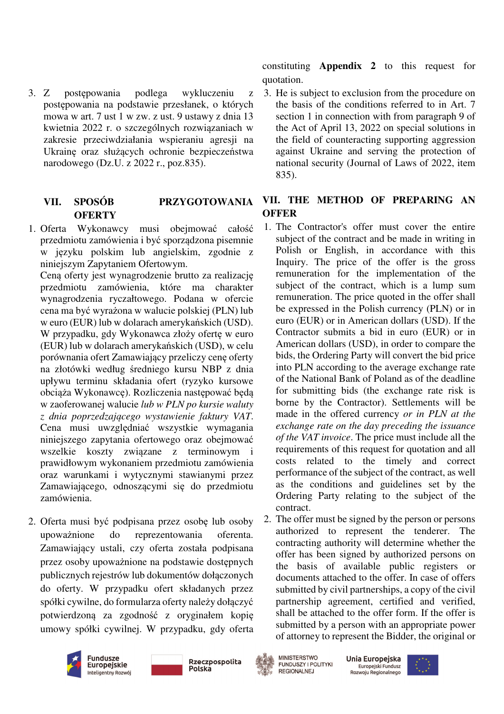3. Z postępowania podlega wykluczeniu z postępowania na podstawie przesłanek, o których mowa w art. 7 ust 1 w zw. z ust. 9 ustawy z dnia 13 kwietnia 2022 r. o szczególnych rozwiązaniach w zakresie przeciwdziałania wspieraniu agresji na Ukrainę oraz służących ochronie bezpieczeństwa narodowego (Dz.U. z 2022 r., poz.835).

# **VII. SPOSÓB PRZYGOTOWANIA OFERTY**

1. Oferta Wykonawcy musi obejmować całość przedmiotu zamówienia i być sporządzona pisemnie w języku polskim lub angielskim, zgodnie z niniejszym Zapytaniem Ofertowym.

Ceną oferty jest wynagrodzenie brutto za realizację przedmiotu zamówienia, które ma charakter wynagrodzenia ryczałtowego. Podana w ofercie cena ma być wyrażona w walucie polskiej (PLN) lub w euro (EUR) lub w dolarach amerykańskich (USD). W przypadku, gdy Wykonawca złoży ofertę w euro (EUR) lub w dolarach amerykańskich (USD), w celu porównania ofert Zamawiający przeliczy cenę oferty na złotówki według średniego kursu NBP z dnia upływu terminu składania ofert (ryzyko kursowe obciąża Wykonawcę). Rozliczenia następować będą w zaoferowanej walucie *lub w PLN po kursie waluty z dnia poprzedzającego wystawienie faktury VAT*. Cena musi uwzględniać wszystkie wymagania niniejszego zapytania ofertowego oraz obejmować wszelkie koszty związane z terminowym i prawidłowym wykonaniem przedmiotu zamówienia oraz warunkami i wytycznymi stawianymi przez Zamawiającego, odnoszącymi się do przedmiotu zamówienia.

2. Oferta musi być podpisana przez osobę lub osoby upoważnione do reprezentowania oferenta. Zamawiający ustali, czy oferta została podpisana przez osoby upoważnione na podstawie dostępnych publicznych rejestrów lub dokumentów dołączonych do oferty. W przypadku ofert składanych przez spółki cywilne, do formularza oferty należy dołączyć potwierdzoną za zgodność z oryginałem kopię umowy spółki cywilnej. W przypadku, gdy oferta

constituting **Appendix 2** to this request for quotation.

3. He is subject to exclusion from the procedure on the basis of the conditions referred to in Art. 7 section 1 in connection with from paragraph 9 of the Act of April 13, 2022 on special solutions in the field of counteracting supporting aggression against Ukraine and serving the protection of national security (Journal of Laws of 2022, item 835).

## **VII. THE METHOD OF PREPARING AN OFFER**

- 1. The Contractor's offer must cover the entire subject of the contract and be made in writing in Polish or English, in accordance with this Inquiry. The price of the offer is the gross remuneration for the implementation of the subject of the contract, which is a lump sum remuneration. The price quoted in the offer shall be expressed in the Polish currency (PLN) or in euro (EUR) or in American dollars (USD). If the Contractor submits a bid in euro (EUR) or in American dollars (USD), in order to compare the bids, the Ordering Party will convert the bid price into PLN according to the average exchange rate of the National Bank of Poland as of the deadline for submitting bids (the exchange rate risk is borne by the Contractor). Settlements will be made in the offered currency *or in PLN at the exchange rate on the day preceding the issuance of the VAT invoice*. The price must include all the requirements of this request for quotation and all costs related to the timely and correct performance of the subject of the contract, as well as the conditions and guidelines set by the Ordering Party relating to the subject of the contract.
- 2. The offer must be signed by the person or persons authorized to represent the tenderer. The contracting authority will determine whether the offer has been signed by authorized persons on the basis of available public registers or documents attached to the offer. In case of offers submitted by civil partnerships, a copy of the civil partnership agreement, certified and verified, shall be attached to the offer form. If the offer is submitted by a person with an appropriate power of attorney to represent the Bidder, the original or







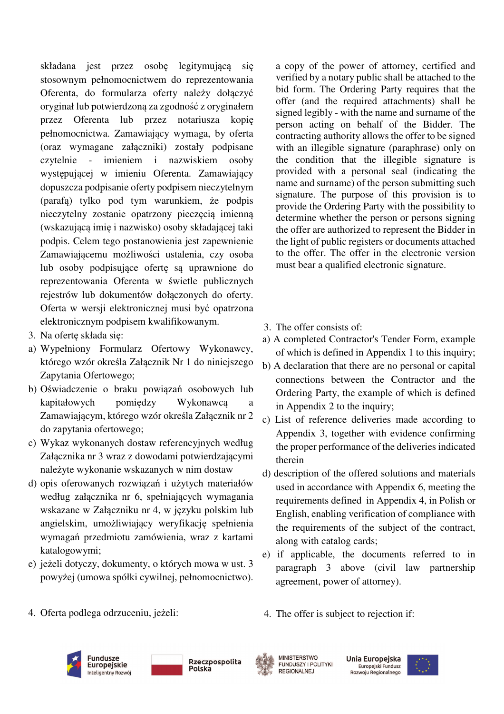składana jest przez osobę legitymującą się stosownym pełnomocnictwem do reprezentowania Oferenta, do formularza oferty należy dołączyć oryginał lub potwierdzoną za zgodność z oryginałem przez Oferenta lub przez notariusza kopię pełnomocnictwa. Zamawiający wymaga, by oferta (oraz wymagane załączniki) zostały podpisane czytelnie - imieniem i nazwiskiem osoby występującej w imieniu Oferenta. Zamawiający dopuszcza podpisanie oferty podpisem nieczytelnym (parafą) tylko pod tym warunkiem, że podpis nieczytelny zostanie opatrzony pieczęcią imienną (wskazującą imię i nazwisko) osoby składającej taki podpis. Celem tego postanowienia jest zapewnienie Zamawiającemu możliwości ustalenia, czy osoba lub osoby podpisujące ofertę są uprawnione do reprezentowania Oferenta w świetle publicznych rejestrów lub dokumentów dołączonych do oferty. Oferta w wersji elektronicznej musi być opatrzona elektronicznym podpisem kwalifikowanym.

- 3. Na ofertę składa się:
- a) Wypełniony Formularz Ofertowy Wykonawcy, którego wzór określa Załącznik Nr 1 do niniejszego Zapytania Ofertowego;
- b) Oświadczenie o braku powiązań osobowych lub kapitałowych pomiędzy Wykonawcą a Zamawiającym, którego wzór określa Załącznik nr 2 do zapytania ofertowego;
- c) Wykaz wykonanych dostaw referencyjnych według Załącznika nr 3 wraz z dowodami potwierdzającymi należyte wykonanie wskazanych w nim dostaw
- d) opis oferowanych rozwiązań i użytych materiałów według załącznika nr 6, spełniających wymagania wskazane w Załączniku nr 4, w języku polskim lub angielskim, umożliwiający weryfikację spełnienia wymagań przedmiotu zamówienia, wraz z kartami katalogowymi;
- e) jeżeli dotyczy, dokumenty, o których mowa w ust. 3 powyżej (umowa spółki cywilnej, pełnomocnictwo).

a copy of the power of attorney, certified and verified by a notary public shall be attached to the bid form. The Ordering Party requires that the offer (and the required attachments) shall be signed legibly - with the name and surname of the person acting on behalf of the Bidder. The contracting authority allows the offer to be signed with an illegible signature (paraphrase) only on the condition that the illegible signature is provided with a personal seal (indicating the name and surname) of the person submitting such signature. The purpose of this provision is to provide the Ordering Party with the possibility to determine whether the person or persons signing the offer are authorized to represent the Bidder in the light of public registers or documents attached to the offer. The offer in the electronic version must bear a qualified electronic signature.

- 3. The offer consists of:
- a) A completed Contractor's Tender Form, example of which is defined in Appendix 1 to this inquiry;
- b) A declaration that there are no personal or capital connections between the Contractor and the Ordering Party, the example of which is defined in Appendix 2 to the inquiry;
- c) List of reference deliveries made according to Appendix 3, together with evidence confirming the proper performance of the deliveries indicated therein
- d) description of the offered solutions and materials used in accordance with Appendix 6, meeting the requirements defined in Appendix 4, in Polish or English, enabling verification of compliance with the requirements of the subject of the contract, along with catalog cards;
- e) if applicable, the documents referred to in paragraph 3 above (civil law partnership agreement, power of attorney).

4. Oferta podlega odrzuceniu, jeżeli:

4. The offer is subject to rejection if:



Rzeczpospolita Polska



**MINISTERSTWO** FUNDUSZY I POLITYKI **REGIONALNEJ** 

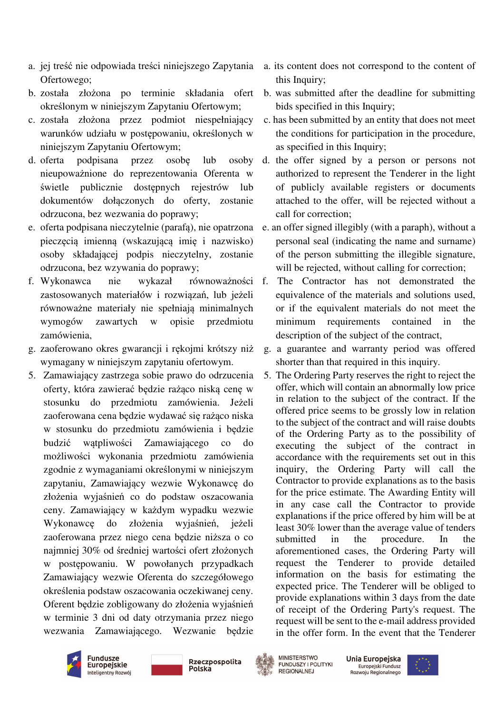- a. jej treść nie odpowiada treści niniejszego Zapytania Ofertowego;
- b. została złożona po terminie składania ofert określonym w niniejszym Zapytaniu Ofertowym;
- c. została złożona przez podmiot niespełniający warunków udziału w postępowaniu, określonych w niniejszym Zapytaniu Ofertowym;
- d. oferta podpisana przez osobę lub osoby nieupoważnione do reprezentowania Oferenta w świetle publicznie dostępnych rejestrów lub dokumentów dołączonych do oferty, zostanie odrzucona, bez wezwania do poprawy;
- e. oferta podpisana nieczytelnie (parafą), nie opatrzona pieczęcią imienną (wskazującą imię i nazwisko) osoby składającej podpis nieczytelny, zostanie odrzucona, bez wzywania do poprawy;
- f. Wykonawca nie wykazał równoważności zastosowanych materiałów i rozwiązań, lub jeżeli równoważne materiały nie spełniają minimalnych wymogów zawartych w opisie przedmiotu zamówienia,
- g. zaoferowano okres gwarancji i rekojmi krótszy niż wymagany w niniejszym zapytaniu ofertowym.
- 5. Zamawiający zastrzega sobie prawo do odrzucenia oferty, która zawierać będzie rażąco niską cenę w stosunku do przedmiotu zamówienia. Jeżeli zaoferowana cena będzie wydawać się rażąco niska w stosunku do przedmiotu zamówienia i będzie budzić wątpliwości Zamawiającego co do możliwości wykonania przedmiotu zamówienia zgodnie z wymaganiami określonymi w niniejszym zapytaniu, Zamawiający wezwie Wykonawcę do złożenia wyjaśnień co do podstaw oszacowania ceny. Zamawiający w każdym wypadku wezwie Wykonawcę do złożenia wyjaśnień, jeżeli zaoferowana przez niego cena będzie niższa o co najmniej 30% od średniej wartości ofert złożonych w postępowaniu. W powołanych przypadkach Zamawiający wezwie Oferenta do szczegółowego określenia podstaw oszacowania oczekiwanej ceny. Oferent będzie zobligowany do złożenia wyjaśnień w terminie 3 dni od daty otrzymania przez niego wezwania Zamawiającego. Wezwanie będzie
- a. its content does not correspond to the content of this Inquiry;
- b. was submitted after the deadline for submitting bids specified in this Inquiry;
- c. has been submitted by an entity that does not meet the conditions for participation in the procedure, as specified in this Inquiry;
- d. the offer signed by a person or persons not authorized to represent the Tenderer in the light of publicly available registers or documents attached to the offer, will be rejected without a call for correction;
- e. an offer signed illegibly (with a paraph), without a personal seal (indicating the name and surname) of the person submitting the illegible signature, will be rejected, without calling for correction;
- The Contractor has not demonstrated the equivalence of the materials and solutions used, or if the equivalent materials do not meet the minimum requirements contained in the description of the subject of the contract,
- g. a guarantee and warranty period was offered shorter than that required in this inquiry.
- 5. The Ordering Party reserves the right to reject the offer, which will contain an abnormally low price in relation to the subject of the contract. If the offered price seems to be grossly low in relation to the subject of the contract and will raise doubts of the Ordering Party as to the possibility of executing the subject of the contract in accordance with the requirements set out in this inquiry, the Ordering Party will call the Contractor to provide explanations as to the basis for the price estimate. The Awarding Entity will in any case call the Contractor to provide explanations if the price offered by him will be at least 30% lower than the average value of tenders submitted in the procedure. In the aforementioned cases, the Ordering Party will request the Tenderer to provide detailed information on the basis for estimating the expected price. The Tenderer will be obliged to provide explanations within 3 days from the date of receipt of the Ordering Party's request. The request will be sent to the e-mail address provided in the offer form. In the event that the Tenderer



Rzeczpospolita Polska



**MINISTERSTWO FUNDUSZY I POLITYKI REGIONALNEJ** 

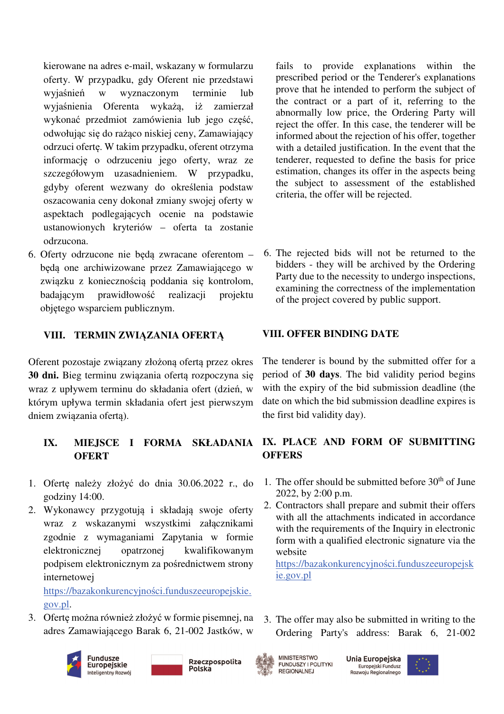kierowane na adres e-mail, wskazany w formularzu oferty. W przypadku, gdy Oferent nie przedstawi wyjaśnień w wyznaczonym terminie lub wyjaśnienia Oferenta wykażą, iż zamierzał wykonać przedmiot zamówienia lub jego część, odwołując się do rażąco niskiej ceny, Zamawiający odrzuci ofertę. W takim przypadku, oferent otrzyma informację o odrzuceniu jego oferty, wraz ze szczegółowym uzasadnieniem. W przypadku, gdyby oferent wezwany do określenia podstaw oszacowania ceny dokonał zmiany swojej oferty w aspektach podlegających ocenie na podstawie ustanowionych kryteriów – oferta ta zostanie odrzucona.

6. Oferty odrzucone nie będą zwracane oferentom – będą one archiwizowane przez Zamawiającego w związku z koniecznością poddania się kontrolom, badającym prawidłowość realizacji projektu objętego wsparciem publicznym.

## **VIII. TERMIN ZWIĄZANIA OFERTĄ**

Oferent pozostaje związany złożoną ofertą przez okres **30 dni.** Bieg terminu związania ofertą rozpoczyna się wraz z upływem terminu do składania ofert (dzień, w którym upływa termin składania ofert jest pierwszym dniem związania ofertą).

# **OFERT**

- 1. Ofertę należy złożyć do dnia 30.06.2022 r., do godziny 14:00.
- 2. Wykonawcy przygotują i składają swoje oferty wraz z wskazanymi wszystkimi załącznikami zgodnie z wymaganiami Zapytania w formie elektronicznej opatrzonej kwalifikowanym podpisem elektronicznym za pośrednictwem strony internetowej

https://bazakonkurencyjności.funduszeeuropejskie. gov.pl.

3. Ofertę można również złożyć w formie pisemnej, na adres Zamawiającego Barak 6, 21-002 Jastków, w





fails to provide explanations within the prescribed period or the Tenderer's explanations prove that he intended to perform the subject of the contract or a part of it, referring to the abnormally low price, the Ordering Party will reject the offer. In this case, the tenderer will be informed about the rejection of his offer, together with a detailed justification. In the event that the tenderer, requested to define the basis for price estimation, changes its offer in the aspects being the subject to assessment of the established criteria, the offer will be rejected.

6. The rejected bids will not be returned to the bidders - they will be archived by the Ordering Party due to the necessity to undergo inspections, examining the correctness of the implementation of the project covered by public support.

### **VIII. OFFER BINDING DATE**

The tenderer is bound by the submitted offer for a period of **30 days**. The bid validity period begins with the expiry of the bid submission deadline (the date on which the bid submission deadline expires is the first bid validity day).

## **IX. MIEJSCE I FORMA SKŁADANIA IX. PLACE AND FORM OF SUBMITTING OFFERS**

- 1. The offer should be submitted before  $30<sup>th</sup>$  of June 2022, by 2:00 p.m.
- 2. Contractors shall prepare and submit their offers with all the attachments indicated in accordance with the requirements of the Inquiry in electronic form with a qualified electronic signature via the website

https://bazakonkurencyjności.funduszeeuropejsk ie.gov.pl

3. The offer may also be submitted in writing to the Ordering Party's address: Barak 6, 21-002



**MINISTERSTWO** 

**REGIONALNEJ** 

FUNDUSZY I POLITYKI

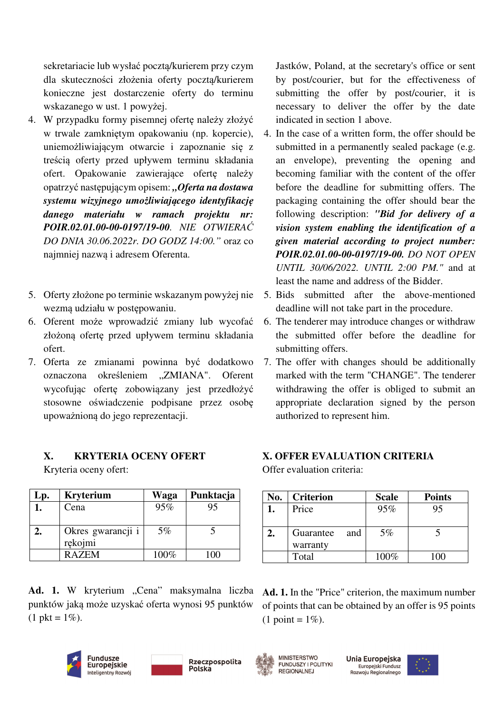sekretariacie lub wysłać pocztą/kurierem przy czym dla skuteczności złożenia oferty pocztą/kurierem konieczne jest dostarczenie oferty do terminu wskazanego w ust. 1 powyżej.

- 4. W przypadku formy pisemnej ofertę należy złożyć w trwale zamkniętym opakowaniu (np. kopercie), uniemożliwiającym otwarcie i zapoznanie się z treścią oferty przed upływem terminu składania ofert. Opakowanie zawierające ofertę należy opatrzyć następującym opisem: *"Oferta na dostawa systemu wizyjnego umożliwiającego identyfikację danego materiału w ramach projektu nr: POIR.02.01.00-00-0197/19-00. NIE OTWIERAĆ DO DNIA 30.06.2022r. DO GODZ 14:00."* oraz co najmniej nazwą i adresem Oferenta.
- 5. Oferty złożone po terminie wskazanym powyżej nie wezmą udziału w postępowaniu.
- 6. Oferent może wprowadzić zmiany lub wycofać złożoną ofertę przed upływem terminu składania ofert.
- 7. Oferta ze zmianami powinna być dodatkowo oznaczona określeniem "ZMIANA". Oferent wycofując ofertę zobowiązany jest przedłożyć stosowne oświadczenie podpisane przez osobę upoważnioną do jego reprezentacji.

## **X. KRYTERIA OCENY OFERT**

Kryteria oceny ofert:

| Lp. | <b>Kryterium</b>  | Waga  | Punktacja |
|-----|-------------------|-------|-----------|
|     | Cena              | 95%   | 95        |
|     |                   |       |           |
|     | Okres gwarancji i | $5\%$ |           |
|     | rękojmi           |       |           |
|     | <b>RAZEM</b>      | 100%  | $100 -$   |

Ad. 1. W kryterium "Cena" maksymalna liczba punktów jaką może uzyskać oferta wynosi 95 punktów  $(1 \text{ okt} = 1\%)$ .





Jastków, Poland, at the secretary's office or sent by post/courier, but for the effectiveness of submitting the offer by post/courier, it is necessary to deliver the offer by the date indicated in section 1 above.

- 4. In the case of a written form, the offer should be submitted in a permanently sealed package (e.g. an envelope), preventing the opening and becoming familiar with the content of the offer before the deadline for submitting offers. The packaging containing the offer should bear the following description: *"Bid for delivery of a vision system enabling the identification of a given material according to project number: POIR.02.01.00-00-0197/19-00. DO NOT OPEN UNTIL 30/06/2022. UNTIL 2:00 PM."* and at least the name and address of the Bidder.
- 5. Bids submitted after the above-mentioned deadline will not take part in the procedure.
- 6. The tenderer may introduce changes or withdraw the submitted offer before the deadline for submitting offers.
- 7. The offer with changes should be additionally marked with the term "CHANGE". The tenderer withdrawing the offer is obliged to submit an appropriate declaration signed by the person authorized to represent him.

## **X. OFFER EVALUATION CRITERIA**

Offer evaluation criteria:

| No. | <b>Criterion</b> | <b>Scale</b> | <b>Points</b> |
|-----|------------------|--------------|---------------|
|     | Price            | 95%          | 95            |
|     |                  |              |               |
|     | Guarantee<br>and | $5\%$        |               |
|     | warranty         |              |               |
|     | Total            | $100\%$      |               |

**Ad. 1.** In the "Price" criterion, the maximum number of points that can be obtained by an offer is 95 points  $(1 \text{ point} = 1\%).$ 



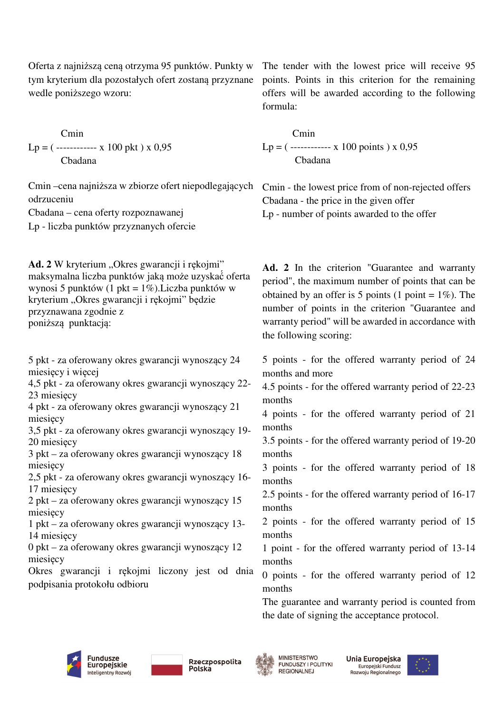Oferta z najniższą ceną otrzyma 95 punktów. Punkty w tym kryterium dla pozostałych ofert zostaną przyznane wedle poniższego wzoru:

 Cmin  $Lp = ($ ------------ x 100 pkt  $)$  x 0,95 Cbadana

Cmin –cena najniższa w zbiorze ofert niepodlegających odrzuceniu

Cbadana – cena oferty rozpoznawanej

Lp - liczba punktów przyznanych ofercie

Ad. 2 W kryterium "Okres gwarancji i rękojmi" maksymalna liczba punktów jaką może uzyskać́ oferta wynosi 5 punktów (1 pkt = 1%).Liczba punktów w kryterium "Okres gwarancji i rękojmi" będzie przyznawana zgodnie z poniższą punktacia:

5 pkt - za oferowany okres gwarancji wynoszący 24 miesięcy i więcej

4,5 pkt - za oferowany okres gwarancji wynoszący 22- 23 miesięcy

4 pkt - za oferowany okres gwarancji wynoszący 21 miesięcy

3,5 pkt - za oferowany okres gwarancji wynoszący 19- 20 miesięcy

3 pkt – za oferowany okres gwarancji wynoszący 18 miesięcy

2,5 pkt - za oferowany okres gwarancji wynoszący 16- 17 miesięcy

2 pkt – za oferowany okres gwarancji wynoszący 15 miesięcy

1 pkt – za oferowany okres gwarancji wynoszący 13- 14 miesięcy

0 pkt – za oferowany okres gwarancji wynoszący 12 miesięcy

Okres gwarancji i rękojmi liczony jest od dnia podpisania protokołu odbioru

The tender with the lowest price will receive 95 points. Points in this criterion for the remaining offers will be awarded according to the following formula:

Cmin  $Lp = ($ ------------ x 100 points  $x = 0.95$ Cbadana

Cmin - the lowest price from of non-rejected offers Cbadana - the price in the given offer Lp - number of points awarded to the offer

**Ad. 2** In the criterion "Guarantee and warranty period", the maximum number of points that can be obtained by an offer is 5 points (1 point =  $1\%$ ). The number of points in the criterion "Guarantee and warranty period" will be awarded in accordance with the following scoring:

5 points - for the offered warranty period of 24 months and more

4.5 points - for the offered warranty period of 22-23 months

4 points - for the offered warranty period of 21 months

3.5 points - for the offered warranty period of 19-20 months

3 points - for the offered warranty period of 18 months

2.5 points - for the offered warranty period of 16-17 months

2 points - for the offered warranty period of 15 months

1 point - for the offered warranty period of 13-14 months

0 points - for the offered warranty period of 12 months

The guarantee and warranty period is counted from the date of signing the acceptance protocol.



Rzeczpospolita Polska



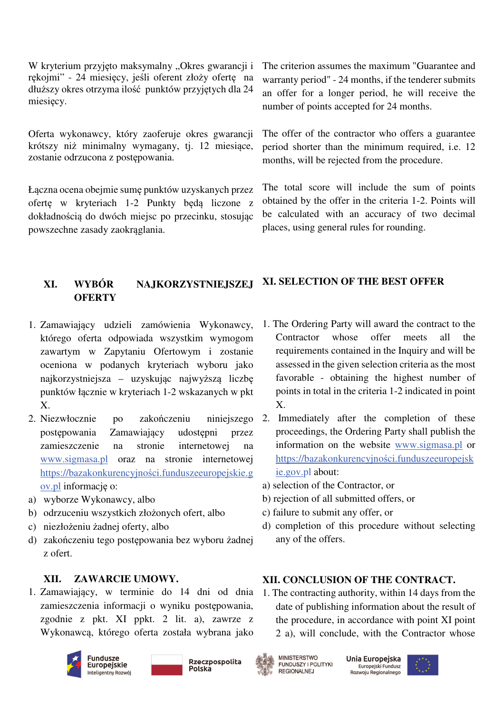W kryterium przyjęto maksymalny "Okres gwarancji i rękojmi" - 24 miesięcy, jeśli oferent złoży ofertę na dłuższy okres otrzyma ilość punktów przyjętych dla 24 miesięcy.

Oferta wykonawcy, który zaoferuje okres gwarancji krótszy niż minimalny wymagany, tj. 12 miesiące, zostanie odrzucona z postępowania.

Łączna ocena obejmie sumę punktów uzyskanych przez ofertę w kryteriach 1-2 Punkty będą liczone z dokładnością do dwóch miejsc po przecinku, stosując powszechne zasady zaokrąglania.

The criterion assumes the maximum "Guarantee and warranty period" - 24 months, if the tenderer submits an offer for a longer period, he will receive the number of points accepted for 24 months.

The offer of the contractor who offers a guarantee period shorter than the minimum required, i.e. 12 months, will be rejected from the procedure.

The total score will include the sum of points obtained by the offer in the criteria 1-2. Points will be calculated with an accuracy of two decimal places, using general rules for rounding.

**XI. SELECTION OF THE BEST OFFER** 

# **XI. WYBÓR NAJKORZYSTNIEJSZEJ OFERTY**

- 1. Zamawiający udzieli zamówienia Wykonawcy, którego oferta odpowiada wszystkim wymogom zawartym w Zapytaniu Ofertowym i zostanie oceniona w podanych kryteriach wyboru jako najkorzystniejsza – uzyskując najwyższą liczbę punktów łącznie w kryteriach 1-2 wskazanych w pkt X.
- 2. Niezwłocznie po zakończeniu niniejszego postępowania Zamawiający udostępni przez zamieszczenie na stronie internetowej na www.sigmasa.pl oraz na stronie internetowej https://bazakonkurencyjności.funduszeeuropejskie.g ov.pl informację o:
- a) wyborze Wykonawcy, albo
- b) odrzuceniu wszystkich złożonych ofert, albo
- c) niezłożeniu żadnej oferty, albo
- d) zakończeniu tego postępowania bez wyboru żadnej z ofert.

## **XII. ZAWARCIE UMOWY.**

1. Zamawiający, w terminie do 14 dni od dnia zamieszczenia informacji o wyniku postępowania, zgodnie z pkt. XI ppkt. 2 lit. a), zawrze z Wykonawcą, którego oferta została wybrana jako









Unia Europejska Europejski Fundusz Rozwoju Regionalnego



1. The Ordering Party will award the contract to the Contractor whose offer meets all the requirements contained in the Inquiry and will be assessed in the given selection criteria as the most favorable - obtaining the highest number of points in total in the criteria 1-2 indicated in point X.

- 2. Immediately after the completion of these proceedings, the Ordering Party shall publish the information on the website www.sigmasa.pl or https://bazakonkurencyjności.funduszeeuropejsk ie.gov.pl about:
- a) selection of the Contractor, or
- b) rejection of all submitted offers, or
- c) failure to submit any offer, or
- d) completion of this procedure without selecting any of the offers.

## **XII. CONCLUSION OF THE CONTRACT.**

1. The contracting authority, within 14 days from the date of publishing information about the result of the procedure, in accordance with point XI point 2 a), will conclude, with the Contractor whose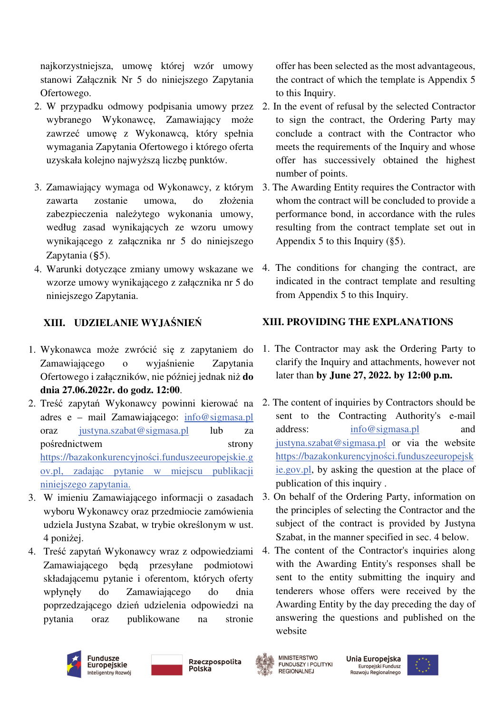najkorzystniejsza, umowę której wzór umowy stanowi Załącznik Nr 5 do niniejszego Zapytania Ofertowego.

- 2. W przypadku odmowy podpisania umowy przez wybranego Wykonawcę, Zamawiający może zawrzeć umowę z Wykonawcą, który spełnia wymagania Zapytania Ofertowego i którego oferta uzyskała kolejno najwyższą liczbę punktów.
- 3. Zamawiający wymaga od Wykonawcy, z którym zawarta zostanie umowa, do złożenia zabezpieczenia należytego wykonania umowy, według zasad wynikających ze wzoru umowy wynikającego z załącznika nr 5 do niniejszego Zapytania (§5).
- 4. Warunki dotyczące zmiany umowy wskazane we wzorze umowy wynikającego z załącznika nr 5 do niniejszego Zapytania.

# **XIII. UDZIELANIE WYJAŚNIEŃ**

- 1. Wykonawca może zwrócić się z zapytaniem do Zamawiającego o wyjaśnienie Zapytania Ofertowego i załączników, nie później jednak niż **do dnia 27.06.2022r. do godz. 12:00**.
- 2. Treść zapytań Wykonawcy powinni kierować na adres e – mail Zamawiającego: info@sigmasa.pl oraz justyna.szabat@sigmasa.pl lub za pośrednictwem strony https://bazakonkurencyjności.funduszeeuropejskie.g ov.pl, zadając pytanie w miejscu publikacji niniejszego zapytania.
- 3. W imieniu Zamawiającego informacji o zasadach wyboru Wykonawcy oraz przedmiocie zamówienia udziela Justyna Szabat, w trybie określonym w ust. 4 poniżej.
- 4. Treść zapytań Wykonawcy wraz z odpowiedziami Zamawiającego będą przesyłane podmiotowi składającemu pytanie i oferentom, których oferty wpłynęły do Zamawiającego do dnia poprzedzającego dzień udzielenia odpowiedzi na pytania oraz publikowane na stronie

offer has been selected as the most advantageous, the contract of which the template is Appendix 5 to this Inquiry.

- 2. In the event of refusal by the selected Contractor to sign the contract, the Ordering Party may conclude a contract with the Contractor who meets the requirements of the Inquiry and whose offer has successively obtained the highest number of points.
- 3. The Awarding Entity requires the Contractor with whom the contract will be concluded to provide a performance bond, in accordance with the rules resulting from the contract template set out in Appendix 5 to this Inquiry  $(\S 5)$ .
- 4. The conditions for changing the contract, are indicated in the contract template and resulting from Appendix 5 to this Inquiry.

# **XIII. PROVIDING THE EXPLANATIONS**

- 1. The Contractor may ask the Ordering Party to clarify the Inquiry and attachments, however not later than **by June 27, 2022. by 12:00 p.m.**
- 2. The content of inquiries by Contractors should be sent to the Contracting Authority's e-mail address: info@sigmasa.pl and justyna.szabat@sigmasa.pl or via the website https://bazakonkurencyjności.funduszeeuropejsk ie.gov.pl, by asking the question at the place of publication of this inquiry .
- 3. On behalf of the Ordering Party, information on the principles of selecting the Contractor and the subject of the contract is provided by Justyna Szabat, in the manner specified in sec. 4 below.
- 4. The content of the Contractor's inquiries along with the Awarding Entity's responses shall be sent to the entity submitting the inquiry and tenderers whose offers were received by the Awarding Entity by the day preceding the day of answering the questions and published on the website





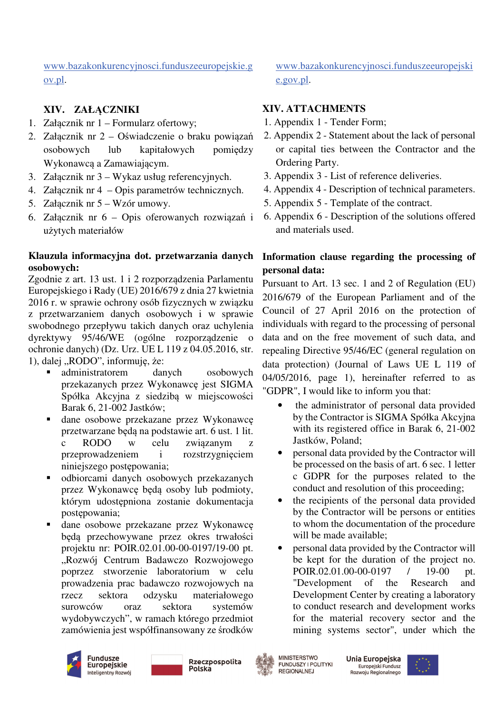www.bazakonkurencyjnosci.funduszeeuropejskie.g ov.pl.

# **XIV. ZAŁĄCZNIKI**

- 1. Załącznik nr 1 Formularz ofertowy;
- 2. Załącznik nr 2 Oświadczenie o braku powiązań osobowych lub kapitałowych pomiędzy Wykonawcą a Zamawiającym.
- 3. Załącznik nr 3 Wykaz usług referencyjnych.
- 4. Załącznik nr 4 Opis parametrów technicznych.
- 5. Załącznik nr 5 Wzór umowy.
- 6. Załącznik nr 6 Opis oferowanych rozwiązań i użytych materiałów

### **Klauzula informacyjna dot. przetwarzania danych osobowych:**

Zgodnie z art. 13 ust. 1 i 2 rozporządzenia Parlamentu Europejskiego i Rady (UE) 2016/679 z dnia 27 kwietnia 2016 r. w sprawie ochrony osób fizycznych w związku z przetwarzaniem danych osobowych i w sprawie swobodnego przepływu takich danych oraz uchylenia dyrektywy 95/46/WE (ogólne rozporządzenie o ochronie danych) (Dz. Urz. UE L 119 z 04.05.2016, str. 1), dalej "RODO", informuję, że:

- administratorem danych osobowych przekazanych przez Wykonawcę jest SIGMA Spółka Akcyjna z siedzibą w miejscowości Barak 6, 21-002 Jastków;
- dane osobowe przekazane przez Wykonawcę przetwarzane będą na podstawie art. 6 ust. 1 lit. c RODO w celu związanym z przeprowadzeniem i rozstrzygnięciem niniejszego postępowania;
- odbiorcami danych osobowych przekazanych przez Wykonawcę będą osoby lub podmioty, którym udostępniona zostanie dokumentacja postępowania;
- dane osobowe przekazane przez Wykonawcę będą przechowywane przez okres trwałości projektu nr: POIR.02.01.00-00-0197/19-00 pt. "Rozwój Centrum Badawczo Rozwojowego poprzez stworzenie laboratorium w celu prowadzenia prac badawczo rozwojowych na rzecz sektora odzysku materiałowego surowców oraz sektora systemów wydobywczych", w ramach którego przedmiot zamówienia jest współfinansowany ze środków

www.bazakonkurencyjnosci.funduszeeuropejski e.gov.pl.

## **XIV. ATTACHMENTS**

- 1. Appendix 1 Tender Form;
- 2. Appendix 2 Statement about the lack of personal or capital ties between the Contractor and the Ordering Party.
- 3. Appendix 3 List of reference deliveries.
- 4. Appendix 4 Description of technical parameters.
- 5. Appendix 5 Template of the contract.
- 6. Appendix 6 Description of the solutions offered and materials used.

## **Information clause regarding the processing of personal data:**

Pursuant to Art. 13 sec. 1 and 2 of Regulation (EU) 2016/679 of the European Parliament and of the Council of 27 April 2016 on the protection of individuals with regard to the processing of personal data and on the free movement of such data, and repealing Directive 95/46/EC (general regulation on data protection) (Journal of Laws UE L 119 of 04/05/2016, page 1), hereinafter referred to as "GDPR", I would like to inform you that:

- the administrator of personal data provided by the Contractor is SIGMA Spółka Akcyjna with its registered office in Barak 6, 21-002 Jastków, Poland;
- personal data provided by the Contractor will be processed on the basis of art. 6 sec. 1 letter c GDPR for the purposes related to the conduct and resolution of this proceeding;
- the recipients of the personal data provided by the Contractor will be persons or entities to whom the documentation of the procedure will be made available;
- personal data provided by the Contractor will be kept for the duration of the project no. POIR.02.01.00-00-0197 / 19-00 pt. "Development of the Research and Development Center by creating a laboratory to conduct research and development works for the material recovery sector and the mining systems sector", under which the



Rzeczpospolita Polska



**MINISTERSTWO FUNDUSZY I POLITYKI REGIONALNEJ** 

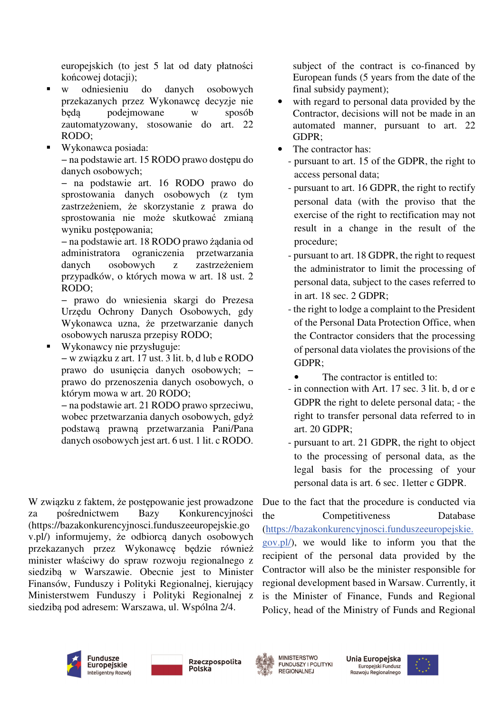europejskich (to jest 5 lat od daty płatności końcowej dotacji);

- w odniesieniu do danych osobowych przekazanych przez Wykonawcę decyzje nie będą podejmowane w sposób zautomatyzowany, stosowanie do art. 22 RODO;
- Wykonawca posiada: − na podstawie art. 15 RODO prawo dostępu do danych osobowych;

− na podstawie art. 16 RODO prawo do sprostowania danych osobowych (z tym zastrzeżeniem, że skorzystanie z prawa do sprostowania nie może skutkować zmianą wyniku postępowania;

− na podstawie art. 18 RODO prawo żądania od administratora ograniczenia przetwarzania danych osobowych z zastrzeżeniem przypadków, o których mowa w art. 18 ust. 2 RODO;

− prawo do wniesienia skargi do Prezesa Urzędu Ochrony Danych Osobowych, gdy Wykonawca uzna, że przetwarzanie danych osobowych narusza przepisy RODO;

Wykonawcy nie przysługuje:

− w związku z art. 17 ust. 3 lit. b, d lub e RODO prawo do usunięcia danych osobowych; − prawo do przenoszenia danych osobowych, o którym mowa w art. 20 RODO;

− na podstawie art. 21 RODO prawo sprzeciwu, wobec przetwarzania danych osobowych, gdyż podstawą prawną przetwarzania Pani/Pana danych osobowych jest art. 6 ust. 1 lit. c RODO.

W związku z faktem, że postępowanie jest prowadzone za pośrednictwem Bazy Konkurencyjności (https://bazakonkurencyjnosci.funduszeeuropejskie.go v.pl/) informujemy, że odbiorcą danych osobowych przekazanych przez Wykonawcę będzie również minister właściwy do spraw rozwoju regionalnego z siedzibą w Warszawie. Obecnie jest to Minister Finansów, Funduszy i Polityki Regionalnej, kierujący Ministerstwem Funduszy i Polityki Regionalnej z siedzibą pod adresem: Warszawa, ul. Wspólna 2/4.

subject of the contract is co-financed by European funds (5 years from the date of the final subsidy payment);

- with regard to personal data provided by the Contractor, decisions will not be made in an automated manner, pursuant to art. 22 GDPR;
- The contractor has:
	- pursuant to art. 15 of the GDPR, the right to access personal data;
	- pursuant to art. 16 GDPR, the right to rectify personal data (with the proviso that the exercise of the right to rectification may not result in a change in the result of the procedure;
	- pursuant to art. 18 GDPR, the right to request the administrator to limit the processing of personal data, subject to the cases referred to in art. 18 sec. 2 GDPR;
	- the right to lodge a complaint to the President of the Personal Data Protection Office, when the Contractor considers that the processing of personal data violates the provisions of the GDPR;
		- The contractor is entitled to:
	- in connection with Art. 17 sec. 3 lit. b, d or e GDPR the right to delete personal data; - the right to transfer personal data referred to in art. 20 GDPR;
	- pursuant to art. 21 GDPR, the right to object to the processing of personal data, as the legal basis for the processing of your personal data is art. 6 sec. 1letter c GDPR.

Due to the fact that the procedure is conducted via the Competitiveness Database (https://bazakonkurencyjnosci.funduszeeuropejskie. gov.pl/), we would like to inform you that the recipient of the personal data provided by the Contractor will also be the minister responsible for regional development based in Warsaw. Currently, it is the Minister of Finance, Funds and Regional Policy, head of the Ministry of Funds and Regional